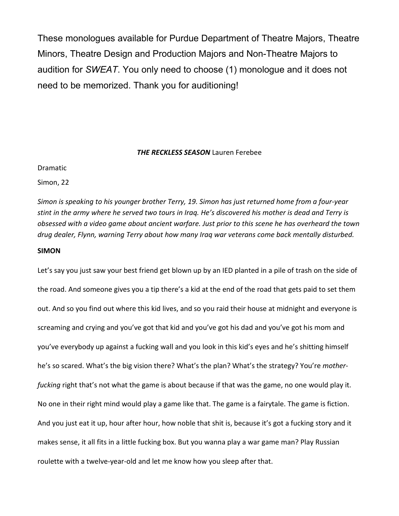These monologues available for Purdue Department of Theatre Majors, Theatre Minors, Theatre Design and Production Majors and Non-Theatre Majors to audition for *SWEAT*. You only need to choose (1) monologue and it does not need to be memorized. Thank you for auditioning!

## *THE RECKLESS SEASON* Lauren Ferebee

## Dramatic

Simon, 22

*Simon is speaking to his younger brother Terry, 19. Simon has just returned home from a four-year stint in the army where he served two tours in Iraq. He's discovered his mother is dead and Terry is obsessed with a video game about ancient warfare. Just prior to this scene he has overheard the town drug dealer, Flynn, warning Terry about how many Iraq war veterans come back mentally disturbed.* 

# **SIMON**

Let's say you just saw your best friend get blown up by an IED planted in a pile of trash on the side of the road. And someone gives you a tip there's a kid at the end of the road that gets paid to set them out. And so you find out where this kid lives, and so you raid their house at midnight and everyone is screaming and crying and you've got that kid and you've got his dad and you've got his mom and you've everybody up against a fucking wall and you look in this kid's eyes and he's shitting himself he's so scared. What's the big vision there? What's the plan? What's the strategy? You're *motherfucking* right that's not what the game is about because if that was the game, no one would play it. No one in their right mind would play a game like that. The game is a fairytale. The game is fiction. And you just eat it up, hour after hour, how noble that shit is, because it's got a fucking story and it makes sense, it all fits in a little fucking box. But you wanna play a war game man? Play Russian roulette with a twelve-year-old and let me know how you sleep after that.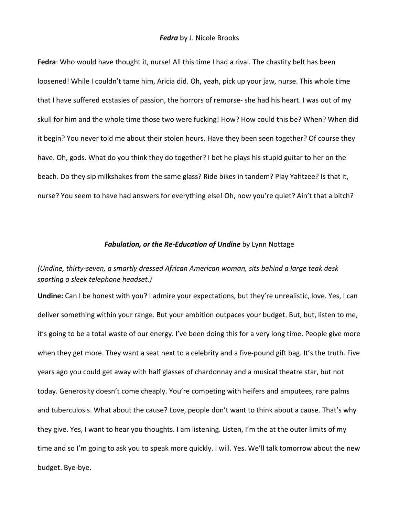**Fedra**: Who would have thought it, nurse! All this time I had a rival. The chastity belt has been loosened! While I couldn't tame him, Aricia did. Oh, yeah, pick up your jaw, nurse. This whole time that I have suffered ecstasies of passion, the horrors of remorse- she had his heart. I was out of my skull for him and the whole time those two were fucking! How? How could this be? When? When did it begin? You never told me about their stolen hours. Have they been seen together? Of course they have. Oh, gods. What do you think they do together? I bet he plays his stupid guitar to her on the beach. Do they sip milkshakes from the same glass? Ride bikes in tandem? Play Yahtzee? Is that it, nurse? You seem to have had answers for everything else! Oh, now you're quiet? Ain't that a bitch?

# *Fabulation, or the Re-Education of Undine* by Lynn Nottage

# *(Undine, thirty-seven, a smartly dressed African American woman, sits behind a large teak desk sporting a sleek telephone headset.)*

**Undine:** Can I be honest with you? I admire your expectations, but they're unrealistic, love. Yes, I can deliver something within your range. But your ambition outpaces your budget. But, but, listen to me, it's going to be a total waste of our energy. I've been doing this for a very long time. People give more when they get more. They want a seat next to a celebrity and a five-pound gift bag. It's the truth. Five years ago you could get away with half glasses of chardonnay and a musical theatre star, but not today. Generosity doesn't come cheaply. You're competing with heifers and amputees, rare palms and tuberculosis. What about the cause? Love, people don't want to think about a cause. That's why they give. Yes, I want to hear you thoughts. I am listening. Listen, I'm the at the outer limits of my time and so I'm going to ask you to speak more quickly. I will. Yes. We'll talk tomorrow about the new budget. Bye-bye.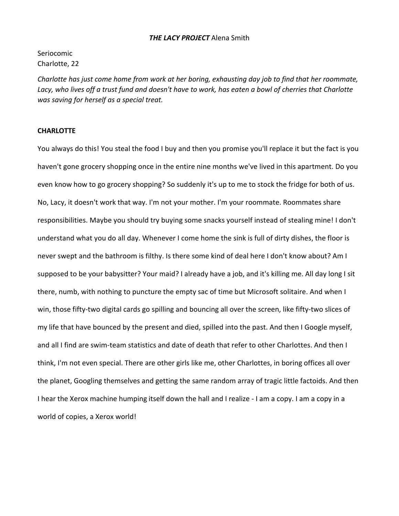## *THE LACY PROJECT* Alena Smith

Seriocomic Charlotte, 22

*Charlotte has just come home from work at her boring, exhausting day job to find that her roommate, Lacy, who lives off a trust fund and doesn't have to work, has eaten a bowl of cherries that Charlotte was saving for herself as a special treat.* 

# **CHARLOTTE**

You always do this! You steal the food I buy and then you promise you'll replace it but the fact is you haven't gone grocery shopping once in the entire nine months we've lived in this apartment. Do you even know how to go grocery shopping? So suddenly it's up to me to stock the fridge for both of us. No, Lacy, it doesn't work that way. I'm not your mother. I'm your roommate. Roommates share responsibilities. Maybe you should try buying some snacks yourself instead of stealing mine! I don't understand what you do all day. Whenever I come home the sink is full of dirty dishes, the floor is never swept and the bathroom is filthy. Is there some kind of deal here I don't know about? Am I supposed to be your babysitter? Your maid? I already have a job, and it's killing me. All day long I sit there, numb, with nothing to puncture the empty sac of time but Microsoft solitaire. And when I win, those fifty-two digital cards go spilling and bouncing all over the screen, like fifty-two slices of my life that have bounced by the present and died, spilled into the past. And then I Google myself, and all I find are swim-team statistics and date of death that refer to other Charlottes. And then I think, I'm not even special. There are other girls like me, other Charlottes, in boring offices all over the planet, Googling themselves and getting the same random array of tragic little factoids. And then I hear the Xerox machine humping itself down the hall and I realize - I am a copy. I am a copy in a world of copies, a Xerox world!